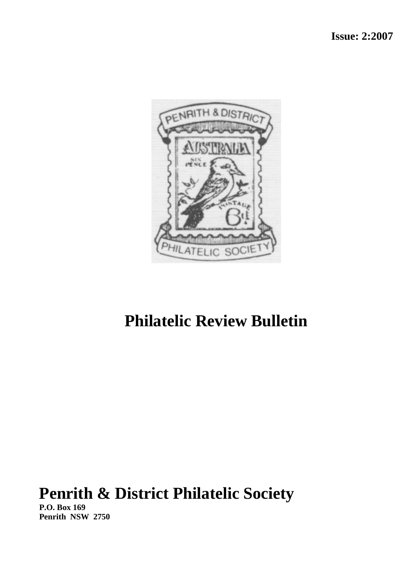

# **Philatelic Review Bulletin**

# **Penrith & District Philatelic Society**

**P.O. Box 169 Penrith NSW 2750**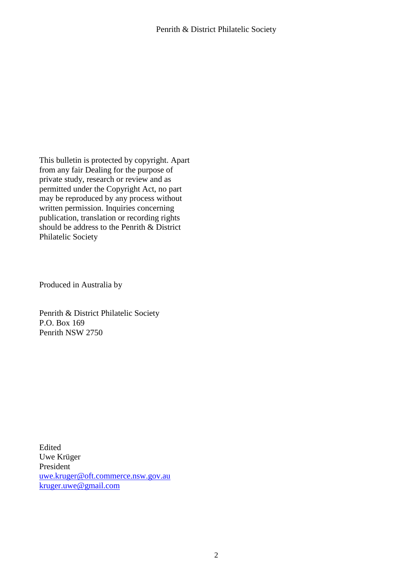This bulletin is protected by copyright. Apart from any fair Dealing for the purpose of private study, research or review and as permitted under the Copyright Act, no part may be reproduced by any process without written permission. Inquiries concerning publication, translation or recording rights should be address to the Penrith & District Philatelic Society

Produced in Australia by

Penrith & District Philatelic Society P.O. Box 169 Penrith NSW 2750

Edited Uwe Krüger President [uwe.kruger@oft.commerce.nsw.gov.au](mailto:uwe.kruger@oft.commerce.nsw.gov.au) [kruger.uwe@gmail.com](mailto:kruger.uwe@gmail.com)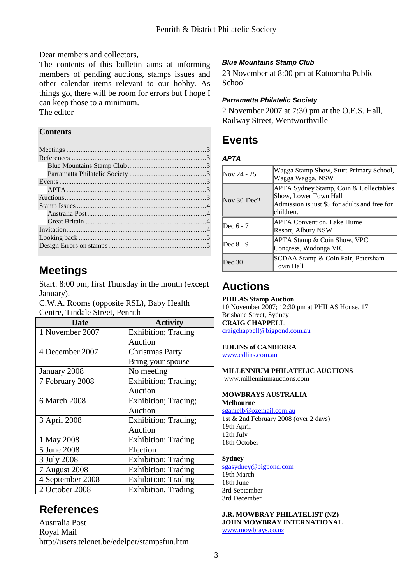Dear members and collectors,

The contents of this bulletin aims at informing members of pending auctions, stamps issues and other calendar items relevant to our hobby. As things go, there will be room for errors but I hope I can keep those to a minimum. The editor

### **Contents**

## <span id="page-2-0"></span>**Meetings**

Start: 8:00 pm; first Thursday in the month (except January).

C.W.A. Rooms (opposite RSL), Baby Health Centre, Tindale Street, Penrith

| Date             | <b>Activity</b>             |
|------------------|-----------------------------|
| 1 November 2007  | Exhibition; Trading         |
|                  | Auction                     |
| 4 December 2007  | <b>Christmas Party</b>      |
|                  | Bring your spouse           |
| January 2008     | No meeting                  |
| 7 February 2008  | Exhibition; Trading;        |
|                  | Auction                     |
| 6 March 2008     | Exhibition; Trading;        |
|                  | Auction                     |
| 3 April 2008     | Exhibition; Trading;        |
|                  | Auction                     |
| 1 May 2008       | <b>Exhibition</b> ; Trading |
| 5 June 2008      | Election                    |
| 3 July 2008      | <b>Exhibition</b> ; Trading |
| 7 August 2008    | Exhibition; Trading         |
| 4 September 2008 | <b>Exhibition</b> ; Trading |
| 2 October 2008   | Exhibition, Trading         |
|                  |                             |

## <span id="page-2-1"></span>**References**

Australia Post Royal Mail http://users.telenet.be/edelper/stampsfun.htm

### <span id="page-2-2"></span>*Blue Mountains Stamp Club*

23 November at 8:00 pm at Katoomba Public School

### <span id="page-2-3"></span>*Parramatta Philatelic Society*

2 November 2007 at 7:30 pm at the O.E.S. Hall, Railway Street, Wentworthville

# <span id="page-2-4"></span>**Events**

#### <span id="page-2-5"></span>*APTA*

| Nov 24 - 25       | Wagga Stamp Show, Sturt Primary School,<br>Wagga Wagga, NSW                                                                   |
|-------------------|-------------------------------------------------------------------------------------------------------------------------------|
| Nov $30$ -Dec $2$ | APTA Sydney Stamp, Coin & Collectables<br>Show, Lower Town Hall<br>Admission is just \$5 for adults and free for<br>children. |
| Dec 6 - 7         | <b>APTA Convention, Lake Hume</b><br>Resort, Albury NSW                                                                       |
| Dec 8 - 9         | <b>APTA Stamp &amp; Coin Show, VPC</b><br>Congress, Wodonga VIC                                                               |
| Dec 30            | SCDAA Stamp & Coin Fair, Petersham<br>Town Hall                                                                               |

# <span id="page-2-6"></span>**Auctions**

**PHILAS Stamp Auction** 10 November 2007; 12:30 pm at PHILAS House, 17 Brisbane Street, Sydney **CRAIG CHAPPELL** 

[craigchappell@bigpond.com.au](mailto:craigchappell@bigpond.com.au) 

**EDLINS of CANBERRA** [www.edlins.com.au](http://www.edlins.com.au/) 

**MILLENNIUM PHILATELIC AUCTIONS**  [www.millenniumauctions.com](http://www.millenniumauctions.com/)

#### **MOWBRAYS AUSTRALIA Melbourne**

[sgamelb@ozemail.com.au](mailto:sgamelb@ozemail.com.au)  1st & 2nd February 2008 (over 2 days) 19th April 12th July 18th October

#### **Sydney**

[sgasydney@bigpond.com](mailto:sgasydney@bigpond.com)  19th March 18th June 3rd September 3rd December

**J.R. MOWBRAY PHILATELIST (NZ) JOHN MOWBRAY INTERNATIONAL**  [www.mowbrays.co.nz](http://www.mowbrays.co.nz/)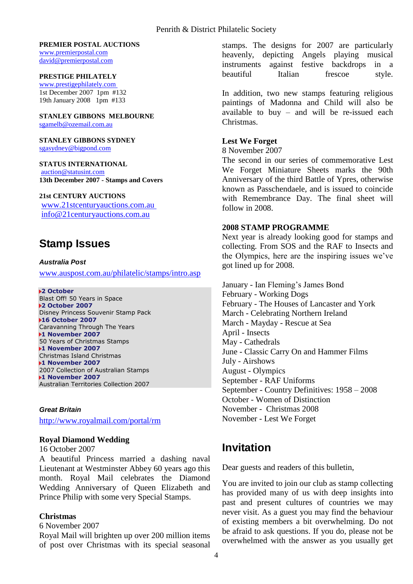#### **PREMIER POSTAL AUCTIONS**

[www.premierpostal.com](http://www.premierpostal.com/)  [david@premierpostal.com](mailto:david@premierpostal.com) 

#### **PRESTIGE PHILATELY**

[www.prestigephilately.com](http://www.prestigephilately.com/) 1st December 2007 1pm #132 19th January 2008 1pm #133

### **STANLEY GIBBONS MELBOURNE**

[sgamelb@ozemail.com.au](mailto:sgamelb@ozemail.com.au) 

#### **STANLEY GIBBONS SYDNEY** [sgasydney@bigpond.com](mailto:sgasydney@bigpond.com)

**STATUS INTERNATIONAL**  [auction@statusint.com](mailto:auction@statusint.com) **13th December 2007 - Stamps and Covers**

#### **21st CENTURY AUCTIONS**

[www.21stcenturyauctions.com.au](http://www.21stcenturyauctions.com.au/)  [info@21centuryauctions.com.au](mailto:info@21centuryauctions.com.au) 

### <span id="page-3-0"></span>**Stamp Issues**

#### <span id="page-3-1"></span>*Australia Post*

[www.auspost.com.au/philatelic/stamps/intro.asp](http://www.auspost.com.au/philatelic/stamps/intro.asp)

#### **2 October**

Blast Off! 50 Years in Space **2 October 2007** Disney Princess Souvenir Stamp Pack **16 October 2007** Caravanning Through The Years **1 November 2007** 50 Years of Christmas Stamps **1 November 2007** Christmas Island Christmas **1 November 2007** 2007 Collection of Australian Stamps **1 November 2007** Australian Territories Collection 2007

#### <span id="page-3-2"></span>*Great Britain*

<http://www.royalmail.com/portal/rm>

#### **Royal Diamond Wedding**

16 October 2007

A beautiful Princess married a dashing naval Lieutenant at Westminster Abbey 60 years ago this month. Royal Mail celebrates the Diamond Wedding Anniversary of Queen Elizabeth and Prince Philip with some very Special Stamps.

#### **Christmas**

#### 6 November 2007

Royal Mail will brighten up over 200 million items of post over Christmas with its special seasonal stamps. The designs for 2007 are particularly heavenly, depicting Angels playing musical instruments against festive backdrops in a beautiful Italian frescoe style.

In addition, two new stamps featuring religious paintings of Madonna and Child will also be available to buy – and will be re-issued each Christmas.

#### **Lest We Forget**

8 November 2007

The second in our series of commemorative Lest We Forget Miniature Sheets marks the 90th Anniversary of the third Battle of Ypres, otherwise known as Passchendaele, and is issued to coincide with Remembrance Day. The final sheet will follow in 2008.

#### **2008 STAMP PROGRAMME**

Next year is already looking good for stamps and collecting. From SOS and the RAF to Insects and the Olympics, here are the inspiring issues we've got lined up for 2008.

January - Ian Fleming's James Bond February - Working Dogs February - The Houses of Lancaster and York March - Celebrating Northern Ireland March - Mayday - Rescue at Sea April - Insects May - Cathedrals June - Classic Carry On and Hammer Films July - Airshows August - Olympics September - RAF Uniforms September - Country Definitives: 1958 – 2008 October - Women of Distinction November - Christmas 2008 November - Lest We Forget

### <span id="page-3-3"></span>**Invitation**

Dear guests and readers of this bulletin,

You are invited to join our club as stamp collecting has provided many of us with deep insights into past and present cultures of countries we may never visit. As a guest you may find the behaviour of existing members a bit overwhelming. Do not be afraid to ask questions. If you do, please not be overwhelmed with the answer as you usually get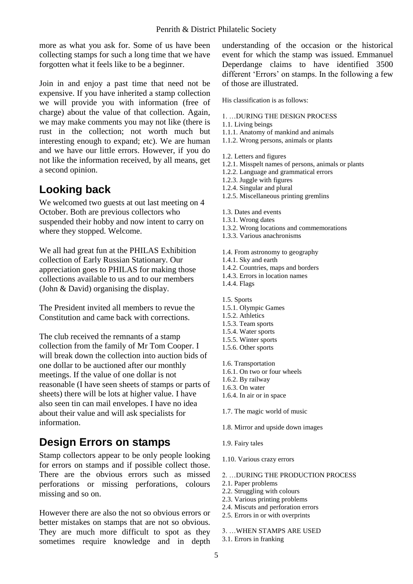more as what you ask for. Some of us have been collecting stamps for such a long time that we have forgotten what it feels like to be a beginner.

Join in and enjoy a past time that need not be expensive. If you have inherited a stamp collection we will provide you with information (free of charge) about the value of that collection. Again, we may make comments you may not like (there is rust in the collection; not worth much but interesting enough to expand; etc). We are human and we have our little errors. However, if you do not like the information received, by all means, get a second opinion.

### <span id="page-4-0"></span>**Looking back**

We welcomed two guests at out last meeting on 4 October. Both are previous collectors who suspended their hobby and now intent to carry on where they stopped. Welcome.

We all had great fun at the PHILAS Exhibition collection of Early Russian Stationary. Our appreciation goes to PHILAS for making those collections available to us and to our members (John & David) organising the display.

The President invited all members to revue the Constitution and came back with corrections.

The club received the remnants of a stamp collection from the family of Mr Tom Cooper. I will break down the collection into auction bids of one dollar to be auctioned after our monthly meetings. If the value of one dollar is not reasonable (I have seen sheets of stamps or parts of sheets) there will be lots at higher value. I have also seen tin can mail envelopes. I have no idea about their value and will ask specialists for information.

### <span id="page-4-1"></span>**Design Errors on stamps**

Stamp collectors appear to be only people looking for errors on stamps and if possible collect those. There are the obvious errors such as missed perforations or missing perforations, colours missing and so on.

However there are also the not so obvious errors or better mistakes on stamps that are not so obvious. They are much more difficult to spot as they sometimes require knowledge and in depth understanding of the occasion or the historical event for which the stamp was issued. Emmanuel Deperdange claims to have identified 3500 different 'Errors' on stamps. In the following a few of those are illustrated.

His classification is as follows:

- 1. …DURING THE DESIGN PROCESS
- 1.1. Living beings
- 1.1.1. Anatomy of mankind and animals
- 1.1.2. Wrong persons, animals or plants
- 1.2. Letters and figures
- 1.2.1. Misspelt names of persons, animals or plants
- 1.2.2. Language and grammatical errors
- 1.2.3. Juggle with figures
- 1.2.4. Singular and plural
- 1.2.5. Miscellaneous printing gremlins
- 1.3. Dates and events
- 1.3.1. Wrong dates
- 1.3.2. Wrong locations and commemorations
- 1.3.3. Various anachronisms
- 1.4. From astronomy to geography
- 1.4.1. Sky and earth
- 1.4.2. Countries, maps and borders
- 1.4.3. Errors in location names
- 1.4.4. Flags
- 1.5. Sports
- 1.5.1. Olympic Games
- 1.5.2. Athletics
- 1.5.3. Team sports
- 1.5.4. Water sports
- 1.5.5. Winter sports
- 1.5.6. Other sports
- 1.6. Transportation
- 1.6.1. On two or four wheels
- 1.6.2. By railway
- 1.6.3. On water
- 1.6.4. In air or in space
- 1.7. The magic world of music
- 1.8. Mirror and upside down images
- 1.9. Fairy tales
- 1.10. Various crazy errors
- 2. …DURING THE PRODUCTION PROCESS
- 2.1. Paper problems
- 2.2. Struggling with colours
- 2.3. Various printing problems
- 2.4. Miscuts and perforation errors
- 2.5. Errors in or with overprints
- 3. …WHEN STAMPS ARE USED
- 3.1. Errors in franking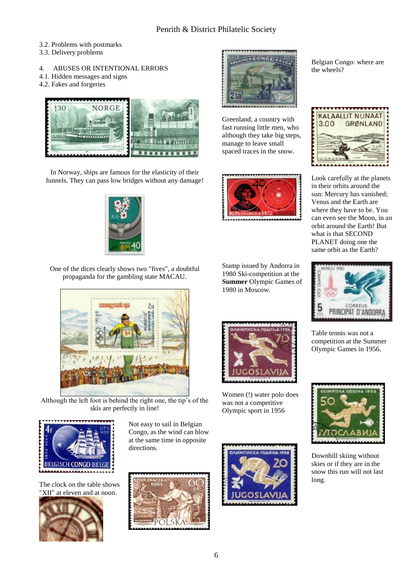3.2. Problems with postmarks

- 3.3. Delivery problems
- 4. ABUSES OR INTENTIONAL ERRORS
- 4.1. Hidden messages and signs
- 4.2. Fakes and forgeries



In Norway, ships are famous for the elasticity of their funnels. They can pass low bridges without any damage!



One of the dices clearly shows two "fives", a doubtful propaganda for the gambling state MACAU.



Although the left foot is behind the right one, the tip's of the skis are perfectly in line!



The clock on the table shows "XII" at eleven and at noon.



Not easy to sail in Belgian Congo, as the wind can blow at the same time in opposite directions.





Greenland, a country with fast running little men, who although they take big steps, manage to leave small spaced traces in the snow.



Stamp issued by Andorra in 1980 Ski-competition at the **Summer** Olympic Games of 1980 in Moscow.



Women (!) water polo does was not a competitive Olympic sport in 1956



Belgian Congo: where are the wheels?



Look carefully at the planets in their orbits around the sun: Mercury has vanished; Venus and the Earth are where they have to be. You can even see the Moon, in an orbit around the Earth! But what is that SECOND PLANET doing one the same orbit as the Earth?



Table tennis was not a competition at the Summer Olympic Games in 1956.



Downhill skiing without skies or if they are in the snow this run will not last long.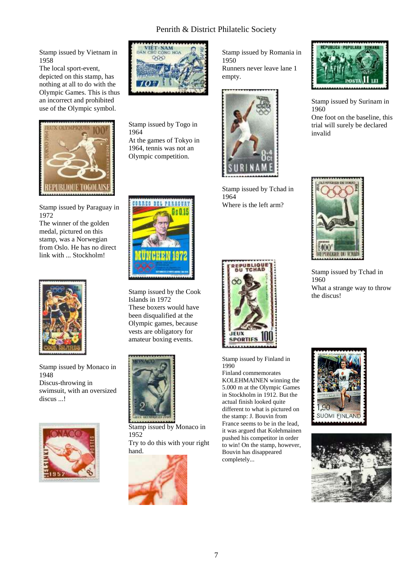Stamp issued by Vietnam in 1958

The local sport-event, depicted on this stamp, has nothing at all to do with the Olympic Games. This is thus an incorrect and prohibited use of the Olympic symbol.



Stamp issued by Paraguay in 1972

The winner of the golden medal, pictured on this stamp, was a Norwegian from Oslo. He has no direct link with ... Stockholm!



Stamp issued by Monaco in 1948 Discus-throwing in swimsuit, with an oversized discus ...!





Stamp issued by Togo in 1964 At the games of Tokyo in 1964, tennis was not an Olympic competition.



Stamp issued by the Cook Islands in 1972 These boxers would have been disqualified at the Olympic games, because vests are obligatory for amateur boxing events.



Stamp issued by Monaco in 1952 Try to do this with your right hand.



Stamp issued by Romania in 1950 Runners never leave lane 1 empty.



Stamp issued by Tchad in 1964 Where is the left arm?



Stamp issued by Finland in 1990

Finland commemorates KOLEHMAINEN winning the 5.000 m at the Olympic Games in Stockholm in 1912. But the actual finish looked quite different to what is pictured on the stamp: J. Bouvin from France seems to be in the lead, it was argued that Kolehmainen pushed his competitor in order to win! On the stamp, however, Bouvin has disappeared completely...



Stamp issued by Surinam in 1960 One foot on the baseline, this trial will surely be declared invalid



Stamp issued by Tchad in 1960 What a strange way to throw the discus!